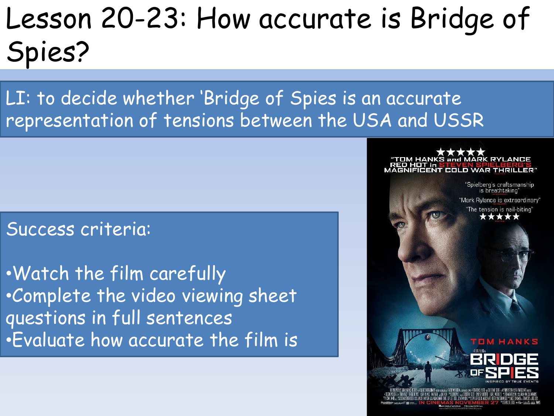### Lesson 20-23: How accurate is Bridge of Spies?

LI: to decide whether 'Bridge of Spies is an accurate representation of tensions between the USA and USSR

#### Success criteria:

•Watch the film carefully •Complete the video viewing sheet questions in full sentences •Evaluate how accurate the film is

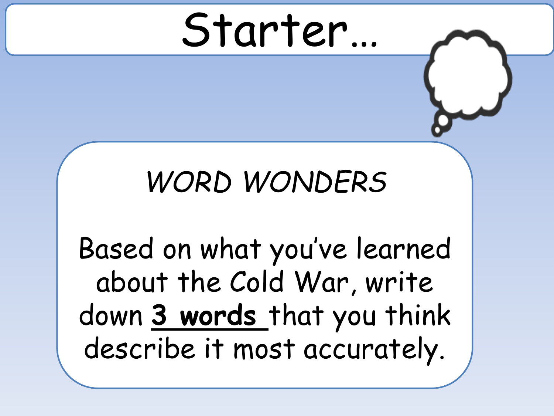## Starter…

#### *WORD WONDERS*

Based on what you've learned about the Cold War, write down **3 words** that you think describe it most accurately.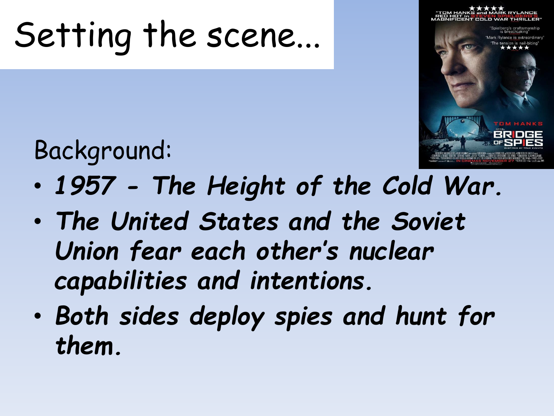### Setting the scene...



Background:

- *1957 - The Height of the Cold War.*
- *The United States and the Soviet Union fear each other's nuclear capabilities and intentions.*
- *Both sides deploy spies and hunt for them.*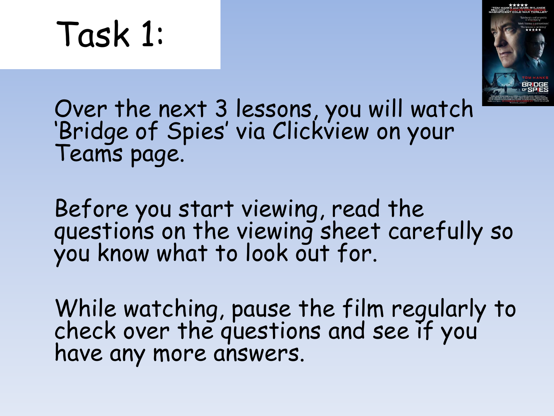### Task 1:



Over the next 3 lessons, you will watch 'Bridge of Spies' via Clickview on your Teams page.

Before you start viewing, read the questions on the viewing sheet carefully so you know what to look out for.

While watching, pause the film regularly to check over the questions and see if you have any more answers.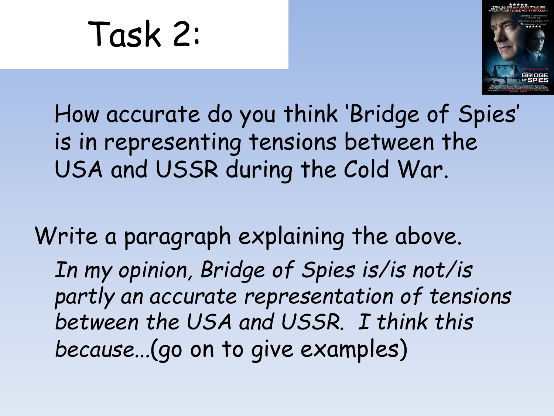Task 2:



#### How accurate do you think 'Bridge of Spies' is in representing tensions between the USA and USSR during the Cold War.

Write a paragraph explaining the above. *In my opinion, Bridge of Spies is/is not/is partly an accurate representation of tensions between the USA and USSR. I think this because...*(go on to give examples)